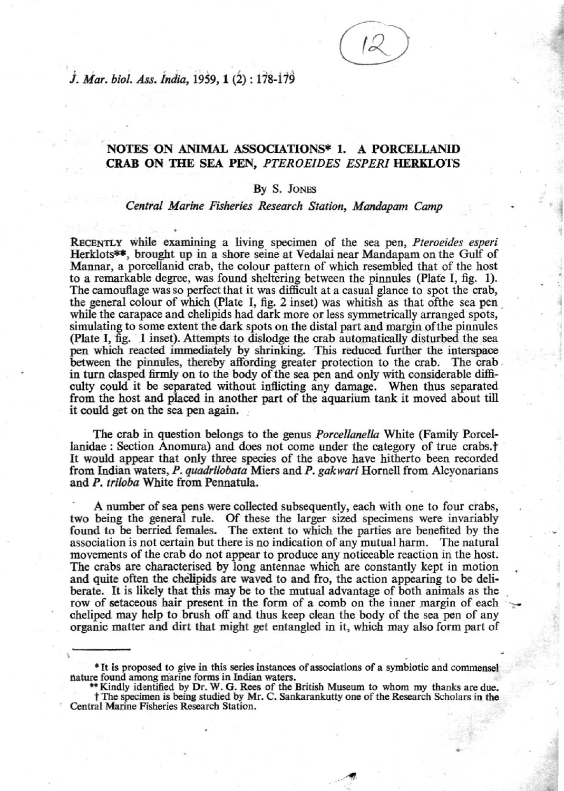. .

J *Mar. bioI. Ass. india,* i959, 1 (2) : 178-119

## **NOTES ON ANIMAL ASSOCIATIONS\* 1. A PORCELLANID CRAB ON THE** SEA PEN, *PTEROEIDES ESPER!* **HERKLOTS**

## By S. JONES

## *Central Marine Fisheries Research Station, Mandapam Camp*

RECENTLY while examining a living specimen of the sea pen, *Pteroeides esperi* Herklots\*\*, brought up in a shore seine at Vedalai near Mandapam on the Gulf of Mannar, a porcelJanid crab, the colour pattern of which resembled that of the host to a remarkable degree, was found sheltering between the pinnules (plate I, fig. I). The camoufiage was so perfect that it was difficult at a casual glance to spot the crab, the general colour of which (Plate I, fig. 2 inset) was whitish as that of the sea pen while the carapace and chelipids had dark more or less symmetrically arranged spots, simulating to some extent the dark spots on the distal part and margin ofthe pinnules (Plate I,  $\tilde{\text{flg}}$ . 1 inset). Attempts to dislodge the crab automatically disturbed the sea pen which reacted immediately by shrinking. This reduced further the interspace between the pinnules, thereby affording greater protection to the crab. The crab in turn clasped firmly on to the body of the sea pen and only with considerable difficulty could it be separated without inflicting any damage. When thus separated from the host and placed in another part of the aquarium tank it moved about till it could get on the sea pen again.

The crab in question belongs to the genus *Porcellanella* White (Family Porcellanidae : Section Anomura) and does not come under the category of true crabs.<sup>†</sup> It would appear that only three species of the above have hitherto been recorded from Indian waters, *P. quadrilobata* Miers and *P. gakwari* Hornell from Alcyonarians and *P. tri/oba* White from Pennatula.

A number of sea pens were collected subsequently, each with one to four crabs, two being the general rule. Of these the larger sized specimens were invariably found to be berried females. The extent to which the parties are benefited by the association is not certain but there is no indication of any mutual harm. The natural movements of the crab do not appear to produce any noticeable reaction in the host. The crabs are characterised by long antennae which are constantly kept in motion and quite often the chelipids are waved to and fro, the action appearing to be deliberate. It is likely that this may be to the mutual advantage of both animals as the row of setaceous hair present in the form of a comb on the inner margin of each cheliped may help to brush off and thus keep clean the body of the sea pen of any organic matter and dirt that might get entangled in it, which may also form part of

<sup>\*</sup> It is proposed to give in this series instances of associations of a symbiotic and commensel nature found among marine forms in Indian waters.<br>\*\* Kindly identified by Dr. W. G. Rees of the British Museum to whom my thank

**tThe specimen is being studied by Mr. C. Sankarankutty one of the Research Scholars in the Central Marine Fisheries Research Station.**